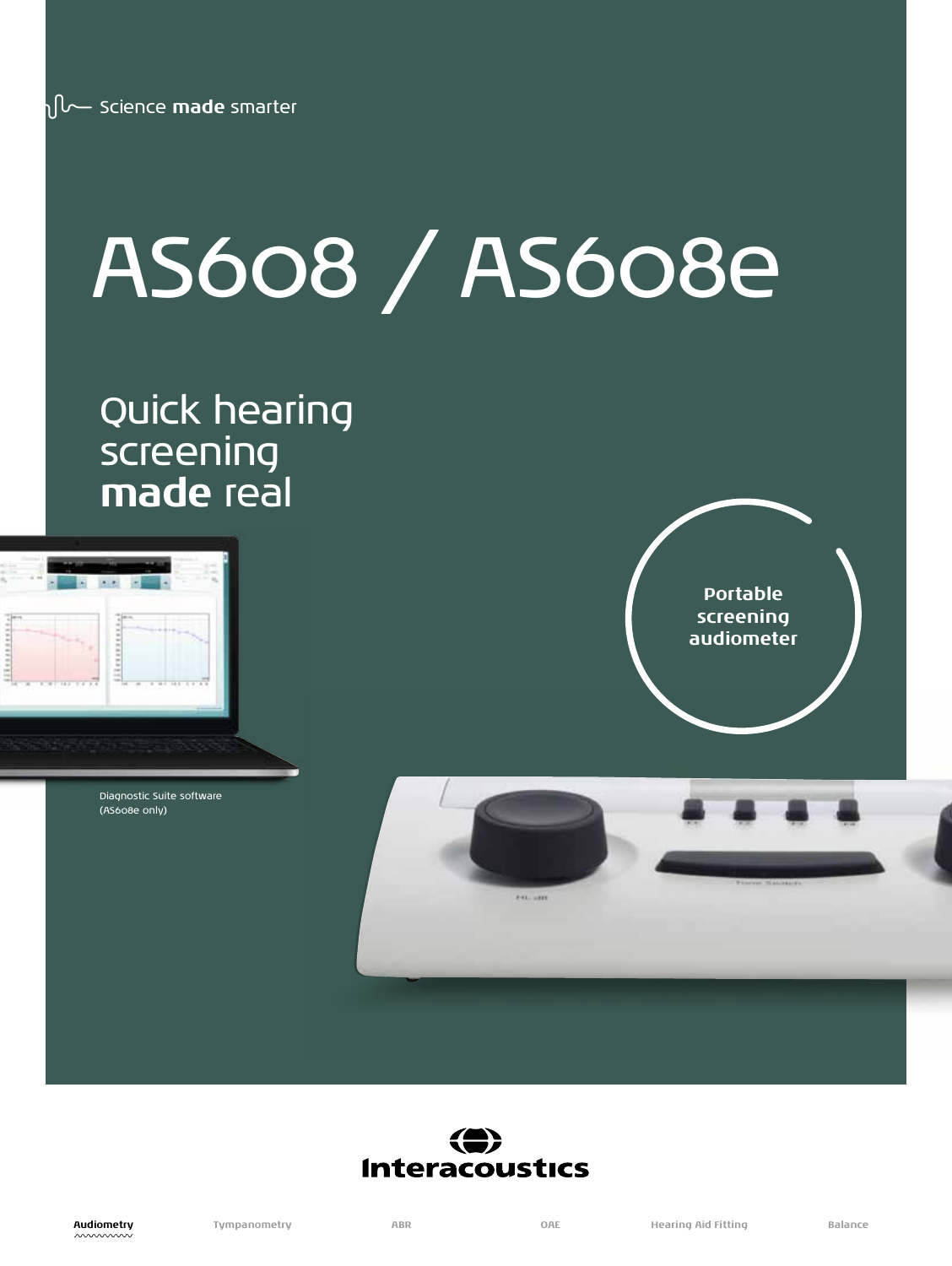# AS608 / AS608e

### Quick hearing screening **made** real



Diagnostic Suite software (AS608e only)



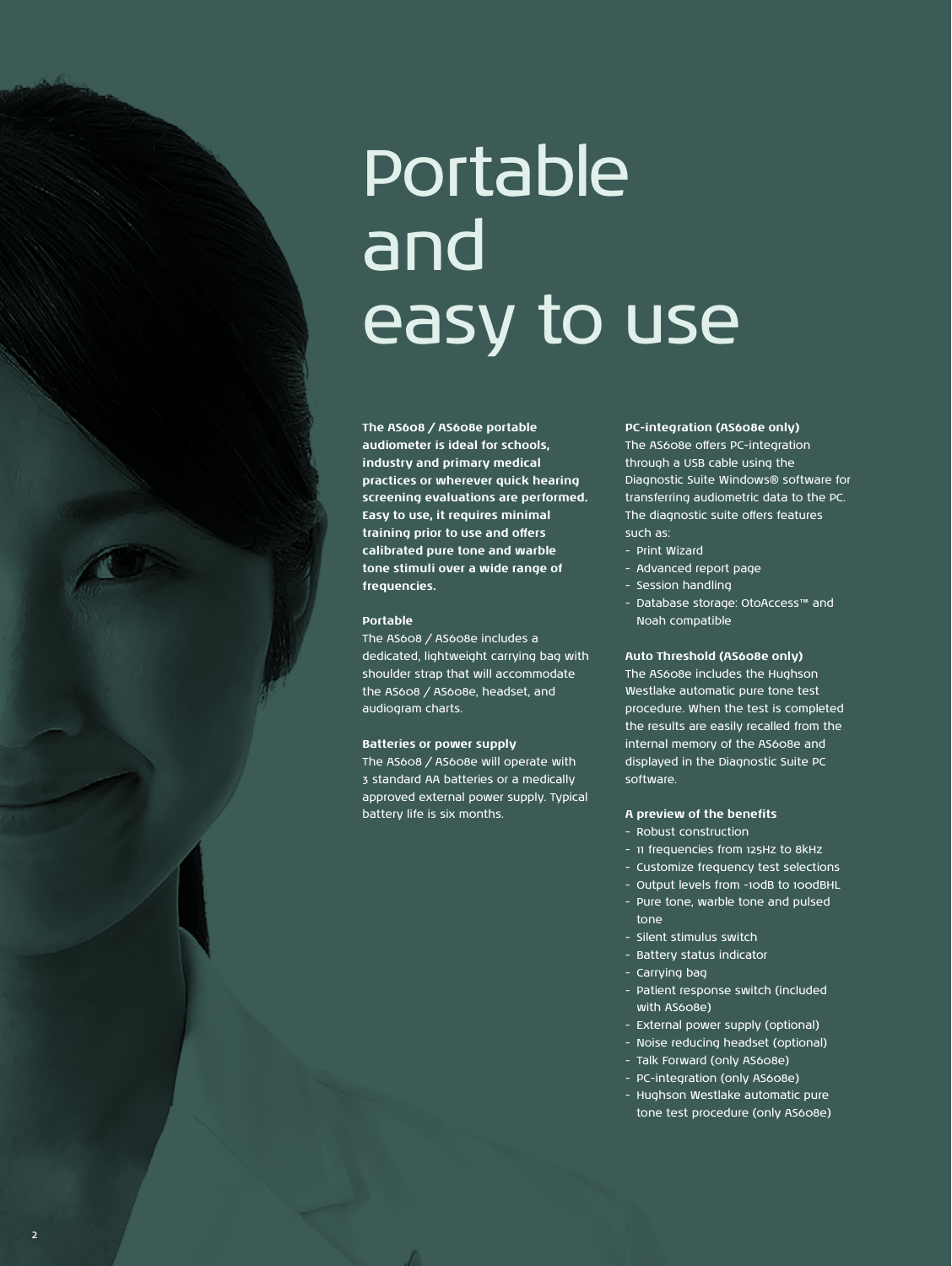## Portable and easy to use

**The AS608 / AS608e portable audiometer is ideal for schools, industry and primary medical practices or wherever quick hearing screening evaluations are performed. Easy to use, it requires minimal training prior to use and offers calibrated pure tone and warble tone stimuli over a wide range of frequencies.**

#### **Portable**

2

The AS608 / AS608e includes a dedicated, lightweight carrying bag with shoulder strap that will accommodate the AS608 / AS608e, headset, and audiogram charts.

#### **Batteries or power supply**

The AS608 / AS608e will operate with 3 standard AA batteries or a medically approved external power supply. Typical battery life is six months.

**PC-integration (AS608e only)** The AS608e offers PC-integration through a USB cable using the Diagnostic Suite Windows® software for transferring audiometric data to the PC. The diagnostic suite offers features such as:

- Print Wizard
- Advanced report page
- Session handling
- Database storage: OtoAccess™ and Noah compatible

#### **Auto Threshold (AS608e only)**

The AS608e includes the Hughson Westlake automatic pure tone test procedure. When the test is completed the results are easily recalled from the internal memory of the AS608e and displayed in the Diagnostic Suite PC software.

#### **A preview of the benefits**

- Robust construction
- 11 frequencies from 125Hz to 8kHz
- Customize frequency test selections
- Output levels from -10dB to 100dBHL
- Pure tone, warble tone and pulsed tone
- Silent stimulus switch
- Battery status indicator
- Carrying bag
- Patient response switch (included with AS608e)
- External power supply (optional)
- Noise reducing headset (optional)
- Talk Forward (only AS608e)
- PC-integration (only AS608e)
- Hughson Westlake automatic pure tone test procedure (only AS608e)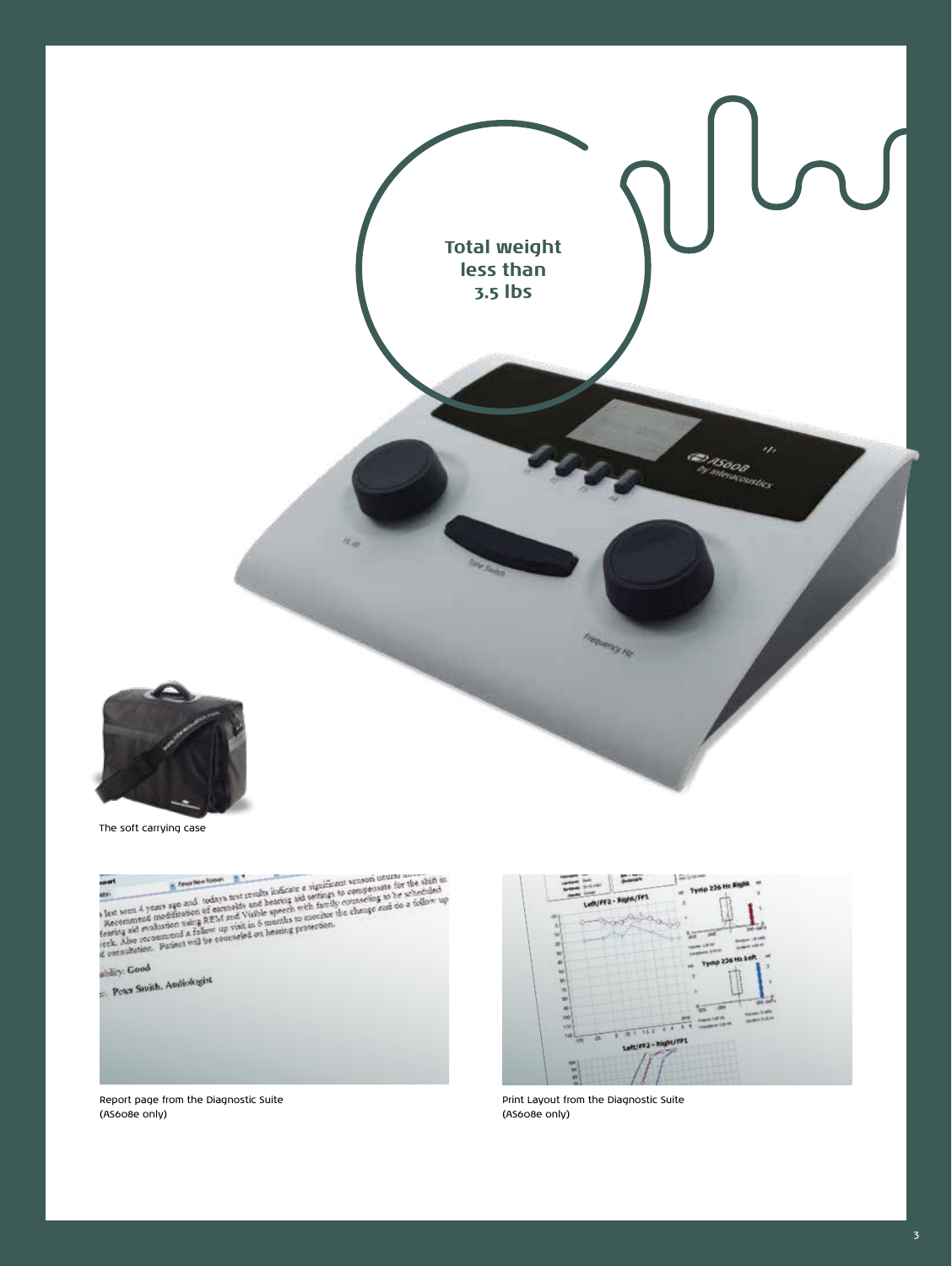

The soft carrying case





Print Layout from the Diagnostic Suite (AS608e only)

Report page from the Diagnostic Suite (AS608e only)